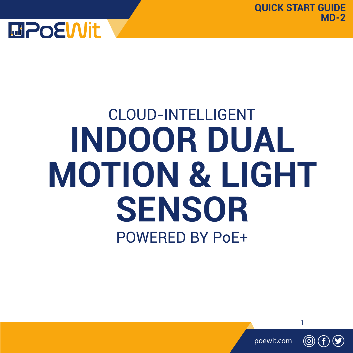

# CLOUD-INTELLIGENT<br>DOOR DUAL<br>FION & LIGH<br>SENSOR<br>POWERED BY PoE+ POWERED BY PoE+ **INDOOR DUAL MOTION & LIGHT SENSOR**

poewit.com

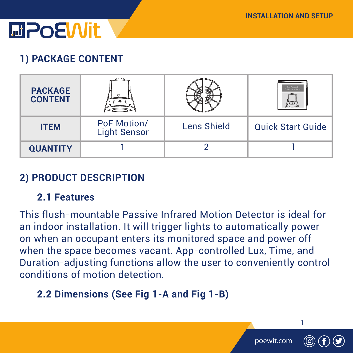

### **1) PACKAGE CONTENT**

| <b>PACKAGE</b><br><b>CONTENT</b> |                                    |             | __                       |
|----------------------------------|------------------------------------|-------------|--------------------------|
| <b>ITEM</b>                      | PoE Motion/<br><b>Light Sensor</b> | Lens Shield | <b>Quick Start Guide</b> |
| <b>QUANTITY</b>                  |                                    |             |                          |

### **2) PRODUCT DESCRIPTION**

#### **2.1 Features**

This flush-mountable Passive Infrared Motion Detector is ideal for an indoor installation. It will trigger lights to automatically power on when an occupant enters its monitored space and power off when the space becomes vacant. App-controlled Lux, Time, and Duration-adjusting functions allow the user to conveniently control conditions of motion detection.

### **2.2 Dimensions (See Fig 1-A and Fig 1-B)**

poewit.com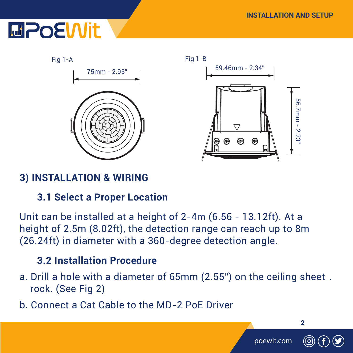### **MPOEWit**



### **3) INSTALLATION & WIRING**

#### **3.1 Select a Proper Location**

Unit can be installed at a height of 2-4m (6.56 - 13.12ft). At a height of 2.5m (8.02ft), the detection range can reach up to 8m (26.24ft) in diameter with a 360-degree detection angle.

#### **3.2 Installation Procedure**

- a. Drill a hole with a diameter of 65mm (2.55") on the ceiling sheet . rock. (See Fig 2)
- b. Connect a Cat Cable to the MD-2 PoE Driver

**2**

poewit.com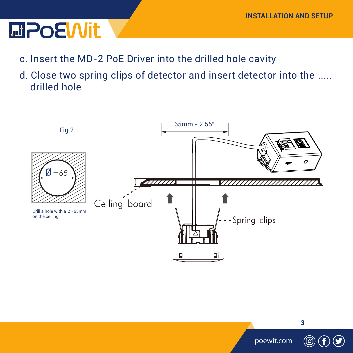### **MPoEWit**

- c. Insert the MD-2 PoE Driver into the drilled hole cavity
- d. Close two spring clips of detector and insert detector into the ..... drilled hole

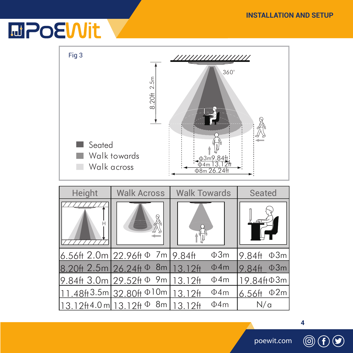## **MPOEWit**

| Fig <sub>3</sub><br>Seated                       | 8.20# 2.5m<br>Walk towards<br>Walk across | $360^\circ$<br>03m9.84ft<br>Φ8m 26.24ft |                        |
|--------------------------------------------------|-------------------------------------------|-----------------------------------------|------------------------|
| Height                                           | <b>Walk Across</b>                        | <b>Walk Towards</b>                     | Seated                 |
| $6.56$ ft $2.0m$                                 | 7m<br>$22.96$ ft $\Phi$                   | Ф3m<br>$9.84$ ft                        | $\Phi$ 3m<br>$9.84$ ft |
| 2.5 <sub>m</sub>                                 | 8 <sub>m</sub><br>$26.24$ ft $\Phi$       | $\Phi$ 4m<br>312H                       | $\Phi$ 3m<br>$9.84$ ft |
| 9.84ft 3.0m                                      | 9m<br>$29.52$ ft $\Phi$                   | $\Phi$ 4m<br>13.12ft                    | 19.84ftФ3m             |
| $.48\text{ft}3.5\text{m}$                        | 32.80ft <sup><math>\Phi</math>10m</sup>   | $\Phi$ 4m<br>12H<br>13                  | $\Phi$ 2m<br>$6.56$ ft |
| 13.12ft4.0m 13.12ft <sup><math>\Phi</math></sup> | 8m                                        | $\Phi$ 4m<br>3.12 <sup>ft</sup>         | N/a                    |

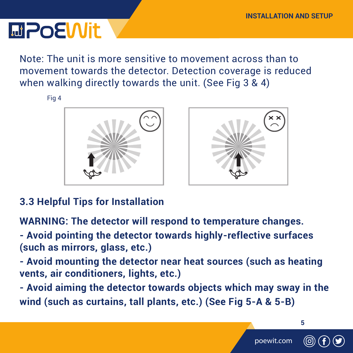### **MPOEWIt**

Note: The unit is more sensitive to movement across than to movement towards the detector. Detection coverage is reduced when walking directly towards the unit. (See Fig 3 & 4)

Fig 4





### **3.3 Helpful Tips for Installation**

**WARNING: The detector will respond to temperature changes.**

**- Avoid pointing the detector towards highly-reflective surfaces (such as mirrors, glass, etc.)**

**- Avoid mounting the detector near heat sources (such as heating vents, air conditioners, lights, etc.)**

**- Avoid aiming the detector towards objects which may sway in the wind (such as curtains, tall plants, etc.) (See Fig 5-A & 5-B)**

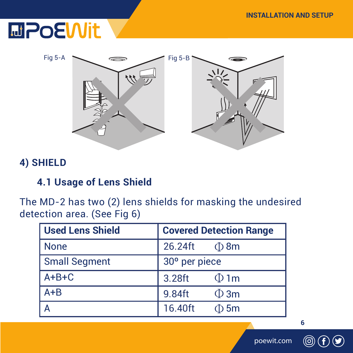### **EDPOEWit**



#### **4) SHIELD**

#### **4.1 Usage of Lens Shield**

The MD-2 has two (2) lens shields for masking the undesired detection area. (See Fig 6)

| <b>Used Lens Shield</b> | <b>Covered Detection Range</b> |  |
|-------------------------|--------------------------------|--|
| <b>None</b>             | 26.24ft<br>⊕ 8m                |  |
| <b>Small Segment</b>    | 30° per piece                  |  |
| $A + B + C$             | 3.28ft<br>$\Phi$ 1m            |  |
| $A + B$                 | 9.84ft<br>$\Phi$ 3m            |  |
|                         | 16.40ft<br>$\Phi$ 5m           |  |

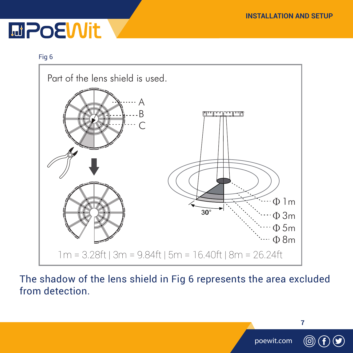### **MPoEWit**

#### Fig 6



The shadow of the lens shield in Fig 6 represents the area excluded from detection.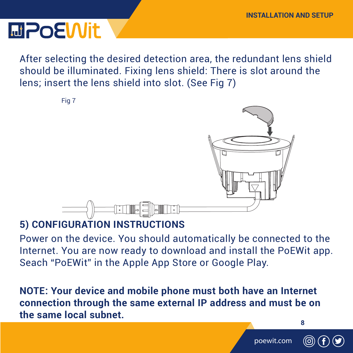**INSTALLATION AND SETUP**

After selecting the desired detection area, the redundant lens shield should be illuminated. Fixing lens shield: There is slot around the lens; insert the lens shield into slot. (See Fig 7)



### **5) CONFIGURATION INSTRUCTIONS**

Power on the device. You should automatically be connected to the Internet. You are now ready to download and install the PoEWit app. Seach "PoEWit" in the Apple App Store or Google Play.

**NOTE: Your device and mobile phone must both have an Internet connection through the same external IP address and must be on the same local subnet.**